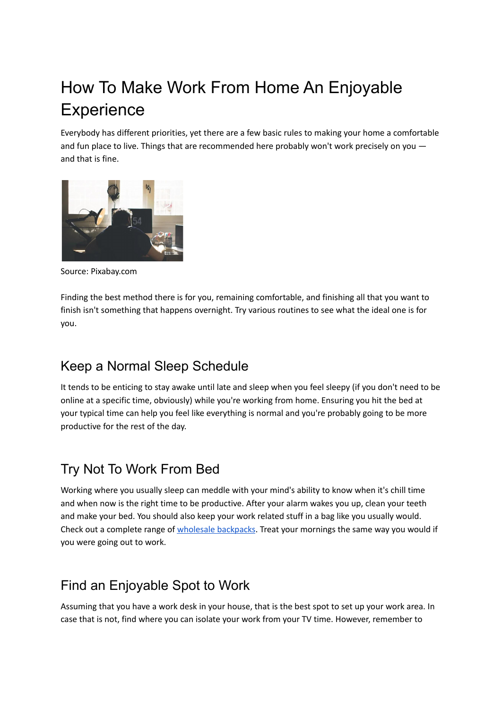# How To Make Work From Home An Enjoyable **Experience**

Everybody has different priorities, yet there are a few basic rules to making your home a comfortable and fun place to live. Things that are recommended here probably won't work precisely on you and that is fine.



Source: Pixabay.com

Finding the best method there is for you, remaining comfortable, and finishing all that you want to finish isn't something that happens overnight. Try various routines to see what the ideal one is for you.

#### Keep a Normal Sleep Schedule

It tends to be enticing to stay awake until late and sleep when you feel sleepy (if you don't need to be online at a specific time, obviously) while you're working from home. Ensuring you hit the bed at your typical time can help you feel like everything is normal and you're probably going to be more productive for the rest of the day.

# Try Not To Work From Bed

Working where you usually sleep can meddle with your mind's ability to know when it's chill time and when now is the right time to be productive. After your alarm wakes you up, clean your teeth and make your bed. You should also keep your work related stuff in a bag like you usually would. Check out a complete range of wholesale [backpacks](https://www.bagmasters.com/category/custom-backpacks). Treat your mornings the same way you would if you were going out to work.

# Find an Enjoyable Spot to Work

Assuming that you have a work desk in your house, that is the best spot to set up your work area. In case that is not, find where you can isolate your work from your TV time. However, remember to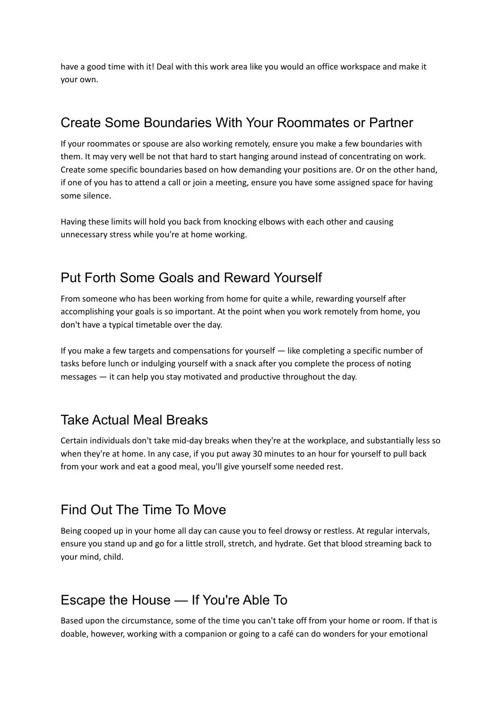have a good time with it! Deal with this work area like you would an office workspace and make it your own.

## Create Some Boundaries With Your Roommates or Partner

If your roommates or spouse are also working remotely, ensure you make a few boundaries with them. It may very well be not that hard to start hanging around instead of concentrating on work. Create some specific boundaries based on how demanding your positions are. Or on the other hand, if one of you has to attend a call or join a meeting, ensure you have some assigned space for having some silence.

Having these limits will hold you back from knocking elbows with each other and causing unnecessary stress while you're at home working.

## Put Forth Some Goals and Reward Yourself

From someone who has been working from home for quite a while, rewarding yourself after accomplishing your goals is so important. At the point when you work remotely from home, you don't have a typical timetable over the day.

If you make a few targets and compensations for yourself — like completing a specific number of tasks before lunch or indulging yourself with a snack after you complete the process of noting messages — it can help you stay motivated and productive throughout the day.

#### Take Actual Meal Breaks

Certain individuals don't take mid-day breaks when they're at the workplace, and substantially less so when they're at home. In any case, if you put away 30 minutes to an hour for yourself to pull back from your work and eat a good meal, you'll give yourself some needed rest.

#### Find Out The Time To Move

Being cooped up in your home all day can cause you to feel drowsy or restless. At regular intervals, ensure you stand up and go for a little stroll, stretch, and hydrate. Get that blood streaming back to your mind, child.

#### Escape the House — If You're Able To

Based upon the circumstance, some of the time you can't take off from your home or room. If that is doable, however, working with a companion or going to a café can do wonders for your emotional